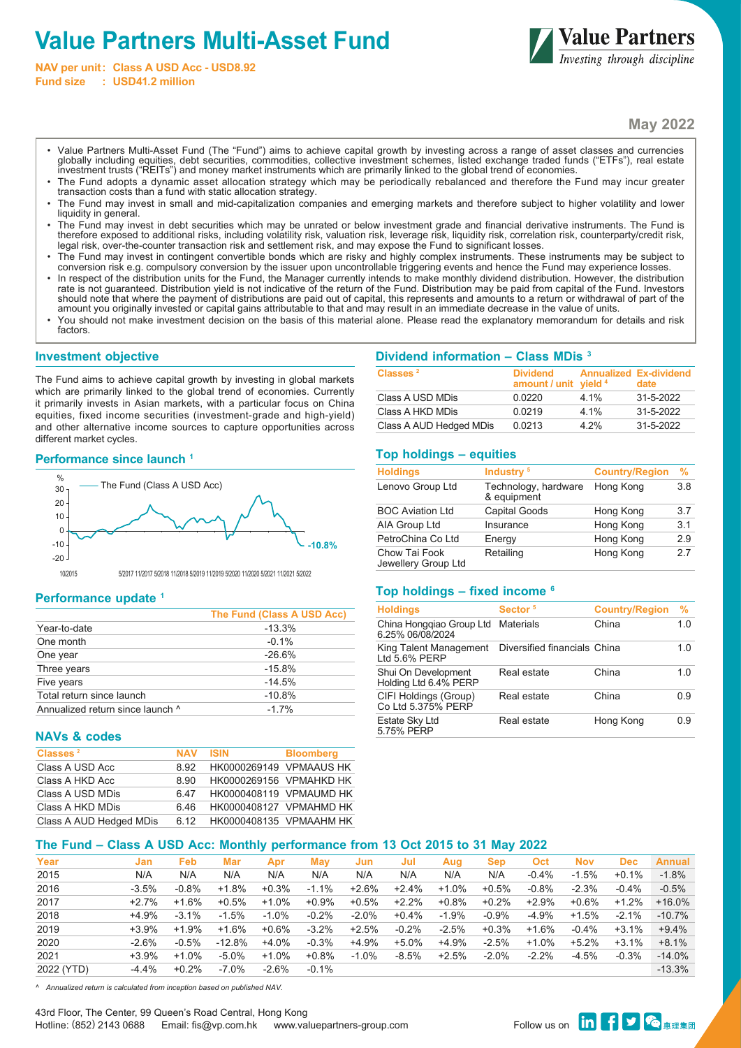# **Value Partners Multi-Asset Fund**

**NAV per unit: Class A USD Acc - USD8.92 Fund size : USD41.2 million**



**May 2022**

- Value Partners Multi-Asset Fund (The "Fund") aims to achieve capital growth by investing across a range of asset classes and currencies globally including equities, debt securities, commodities, collective investment schemes, listed exchange traded funds ("ETFs"), real estate investment trusts ("REITs") and money market instruments which are primarily linked to the global trend of economies.
- The Fund adopts a dynamic asset allocation strategy which may be periodically rebalanced and therefore the Fund may incur greater transaction costs than a fund with static allocation strategy.
- The Fund may invest in small and mid-capitalization companies and emerging markets and therefore subject to higher volatility and lower liquidity in general.
- The Fund may invest in debt securities which may be unrated or below investment grade and financial derivative instruments. The Fund is •<br>,herefore exposed to additional risks, including volatility risk, valuation risk, le legal risk, over-the-counter transaction risk and settlement risk, and may expose the Fund to significant losses.
- The Fund may invest in contingent convertible bonds which are risky and highly complex instruments. These instruments may be subject to conversion risk e.g. compulsory conversion by the issuer upon uncontrollable triggering events and hence the Fund may experience losses.
- In respect of the distribution units for the Fund, the Manager currently intends to make monthly dividend distribution. However, the distribution rate is not guaranteed. Distribution yield is not indicative of the return of the Fund. Distribution may be paid from capital of the Fund. Investors should note that where the payment of distributions are paid out of capital, this represents and amounts to a return or withdrawal of part of the amount you originally invested or capital gains attributable to that and may result in an immediate decrease in the value of units.
- You should not make investment decision on the basis of this material alone. Please read the explanatory memorandum for details and risk factors.

### **Investment objective**

The Fund aims to achieve capital growth by investing in global markets which are primarily linked to the global trend of economies. Currently it primarily invests in Asian markets, with a particular focus on China equities, fixed income securities (investment-grade and high-yield) and other alternative income sources to capture opportunities across different market cycles.

### **Performance since launch 1**



10/2015 5/2017 11/2017 5/2018 11/2018 5/2019 11/2019 5/2020 11/2020 5/2021 11/2021 5/2022

## **Performance update 1**

|                                  | The Fund (Class A USD Acc) |
|----------------------------------|----------------------------|
| Year-to-date                     | $-13.3%$                   |
| One month                        | $-0.1%$                    |
| One year                         | $-26.6%$                   |
| Three years                      | $-15.8%$                   |
| Five years                       | $-14.5%$                   |
| Total return since launch        | $-10.8%$                   |
| Annualized return since launch ^ | $-17%$                     |

## **NAVs & codes**

| Classes <sup>2</sup>    | <b>NAV</b> | <b>ISIN</b>             | <b>Bloomberg</b> |
|-------------------------|------------|-------------------------|------------------|
| Class A USD Acc         | 8.92       | HK0000269149 VPMAAUS HK |                  |
| Class A HKD Acc         | 8.90       | HK0000269156 VPMAHKD HK |                  |
| Class A USD MDis        | 6.47       | HK0000408119 VPMAUMD HK |                  |
| Class A HKD MDis        | ჩ 46       | HK0000408127 VPMAHMD HK |                  |
| Class A AUD Hedged MDis | 6 12       | HK0000408135 VPMAAHM HK |                  |

## **Dividend information – Class MDis 3**

| Classes <sup>2</sup>    | <b>Dividend</b><br>amount / unit yield 4 |      | <b>Annualized Ex-dividend</b><br>date |
|-------------------------|------------------------------------------|------|---------------------------------------|
| Class A USD MDis        | 0.0220                                   | 4 1% | 31-5-2022                             |
| Class A HKD MDis        | 0.0219                                   | 4 1% | 31-5-2022                             |
| Class A AUD Hedged MDis | 0.0213                                   | 4 2% | 31-5-2022                             |

## **Top holdings – equities**

| <b>Holdings</b>                      | Industry <sup>5</sup>               | <b>Country/Region</b> | $\frac{9}{6}$ |
|--------------------------------------|-------------------------------------|-----------------------|---------------|
| Lenovo Group Ltd                     | Technology, hardware<br>& equipment | Hong Kong             | 3.8           |
| <b>BOC Aviation Ltd</b>              | <b>Capital Goods</b>                | Hong Kong             | 3.7           |
| AIA Group Ltd                        | Insurance                           | Hong Kong             | 3.1           |
| PetroChina Co Ltd                    | Energy                              | Hong Kong             | 2.9           |
| Chow Tai Fook<br>Jewellery Group Ltd | Retailing                           | Hong Kong             | 2.7           |

## **Top holdings – fixed income 6**

| <b>Holdings</b>                              | Sector <sup>5</sup>          | <b>Country/Region</b> | $\frac{9}{6}$ |
|----------------------------------------------|------------------------------|-----------------------|---------------|
| China Honggiao Group Ltd<br>6.25% 06/08/2024 | <b>Materials</b>             | China                 | 1.0           |
| King Talent Management<br>Ltd 5.6% PERP      | Diversified financials China |                       | 1.0           |
| Shui On Development<br>Holding Ltd 6.4% PERP | Real estate                  | China                 | 1.0           |
| CIFI Holdings (Group)<br>Co Ltd 5.375% PERP  | Real estate                  | China                 | 0.9           |
| Estate Sky Ltd<br>5.75% PERP                 | Real estate                  | Hong Kong             | 0.9           |

# **The Fund – Class A USD Acc: Monthly performance from 13 Oct 2015 to 31 May 2022**

| Year       | Jan     | <b>Feb</b> | <b>Mar</b> | Apr      | Mav      | Jun     | Jul      | Aug     | <b>Sep</b> | Oct     | <b>Nov</b> | <b>Dec</b> | <b>Annual</b> |
|------------|---------|------------|------------|----------|----------|---------|----------|---------|------------|---------|------------|------------|---------------|
| 2015       | N/A     | N/A        | N/A        | N/A      | N/A      | N/A     | N/A      | N/A     | N/A        | $-0.4%$ | $-1.5%$    | $+0.1%$    | $-1.8%$       |
| 2016       | $-3.5%$ | $-0.8%$    | $+1.8%$    | $+0.3%$  | $-1.1%$  | $+2.6%$ | $+2.4%$  | $+1.0%$ | $+0.5%$    | $-0.8%$ | $-2.3%$    | $-0.4%$    | $-0.5%$       |
| 2017       | $+2.7%$ | $+1.6%$    | $+0.5%$    | $+1.0%$  | $+0.9%$  | $+0.5%$ | $+2.2\%$ | +0.8%   | $+0.2\%$   | $+2.9%$ | $+0.6%$    | $+1.2%$    | $+16.0%$      |
| 2018       | $+4.9%$ | $-3.1%$    | $-1.5%$    | $-1.0\%$ | $-0.2%$  | $-2.0%$ | +0.4%    | $-1.9%$ | $-0.9\%$   | $-4.9%$ | $+1.5%$    | $-2.1%$    | $-10.7%$      |
| 2019       | $+3.9%$ | $+1.9%$    | $+1.6%$    | $+0.6%$  | $-3.2%$  | $+2.5%$ | $-0.2%$  | $-2.5%$ | +0.3%      | $+1.6%$ | $-0.4%$    | $+3.1%$    | $+9.4%$       |
| 2020       | $-2.6%$ | $-0.5%$    | $-12.8%$   | $+4.0%$  | $-0.3%$  | $+4.9%$ | +5.0%    | +4.9%   | $-2.5%$    | $+1.0%$ | $+5.2%$    | $+3.1%$    | $+8.1%$       |
| 2021       | $+3.9%$ | $+1.0%$    | $-5.0%$    | $+1.0%$  | $+0.8%$  | $-1.0%$ | $-8.5%$  | $+2.5%$ | $-2.0%$    | $-2.2%$ | $-4.5%$    | $-0.3%$    | $-14.0\%$     |
| 2022 (YTD) | $-4.4%$ | $+0.2%$    | $-7.0\%$   | $-2.6%$  | $-0.1\%$ |         |          |         |            |         |            |            | $-13.3%$      |

*^ Annualized return is calculated from inception based on published NAV.*